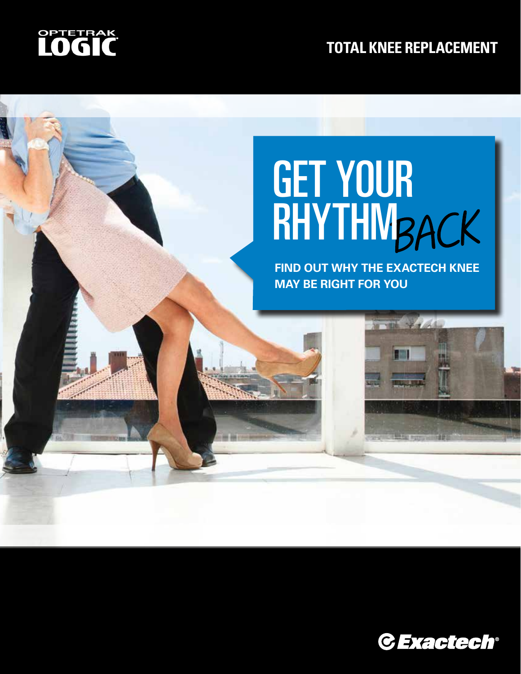

#### **TOTAL KNEE REPLACEMENT**

# BACK GET YOUR RHYTHM

**FIND OUT WHY THE EXACTECH KNEE MAY BE RIGHT FOR YOU**

 $\frac{1}{2}$  and  $\frac{1}{2}$  and  $\frac{1}{2}$ 

**EMI** 

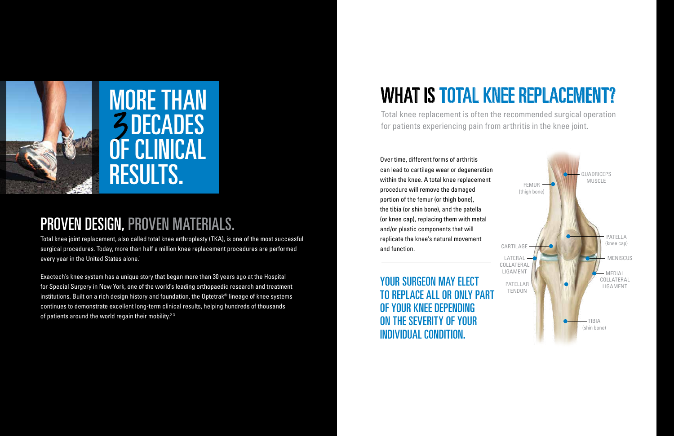### PROVEN DESIGN, PROVEN MATERIALS.

Total knee joint replacement, also called total knee arthroplasty (TKA), is one of the most successful surgical procedures. Today, more than half a million knee replacement procedures are performed every year in the United States alone.<sup>1</sup>

Exactech's knee system has a unique story that began more than 30 years ago at the Hospital for Special Surgery in New York, one of the world's leading orthopaedic research and treatment institutions. Built on a rich design history and foundation, the Optetrak® lineage of knee systems continues to demonstrate excellent long-term clinical results, helping hundreds of thousands of patients around the world regain their mobility. $2-3$ 

YOUR SURGEON MAY ELECT TO REPLACE ALL OR ONLY PART OF YOUR KNEE DEPENDING ON THE SEVERITY OF YOUR INDIVIDUAL CONDITION.

Over time, different forms of arthritis can lead to cartilage wear or degeneration within the knee. A total knee replacement procedure will remove the damaged portion of the femur (or thigh bone), the tibia (or shin bone), and the patella (or knee cap), replacing them with metal and/or plastic components that will replicate the knee's natural movement and function.



# WHAT IS TOTAL KNEE REPLACEMENT?

Total knee replacement is often the recommended surgical operation for patients experiencing pain from arthritis in the knee joint.

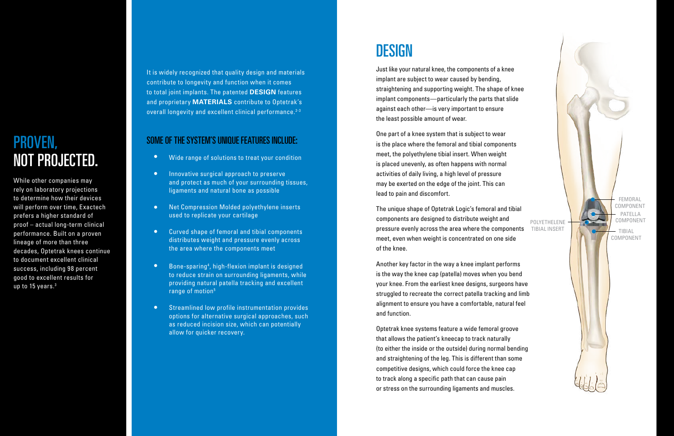Just like your natural knee, the components of a knee implant are subject to wear caused by bending, straightening and supporting weight. The shape of knee implant components—particularly the parts that slide against each other—is very important to ensure the least possible amount of wear.

One part of a knee system that is subject to wear is the place where the femoral and tibial components meet, the polyethylene tibial insert. When weight is placed unevenly, as often happens with normal activities of daily living, a high level of pressure may be exerted on the edge of the joint. This can lead to pain and discomfort.

The unique shape of Optetrak Logic's femoral and tibial components are designed to distribute weight and pressure evenly across the area where the components meet, even when weight is concentrated on one side of the knee.

While other companies may rely on laboratory projections to determine how their devices will perform over time, Exactech prefers a higher standard of proof – actual long-term clinical performance. Built on a proven lineage of more than three decades, Optetrak knees continue to document excellent clinical success, including 98 percent good to excellent results for up to 15 years. $^3$ 

Another key factor in the way a knee implant performs is the way the knee cap (patella) moves when you bend your knee. From the earliest knee designs, surgeons have struggled to recreate the correct patella tracking and limb alignment to ensure you have a comfortable, natural feel and function.

It is widely recognized that quality design and materials contribute to longevity and function when it comes to total joint implants. The patented **DESIGN** features and proprietary **MATERIALS** contribute to Optetrak's overall longevity and excellent clinical performance.<sup>2-3</sup>

> Optetrak knee systems feature a wide femoral groove that allows the patient's kneecap to track naturally (to either the inside or the outside) during normal bending and straightening of the leg. This is different than some competitive designs, which could force the knee cap to track along a specific path that can cause pain or stress on the surrounding ligaments and muscles.

- $\bullet$ Wide range of solutions to treat your condition
- Innovative surgical approach to preserve and protect as much of your surrounding tissues, ligaments and natural bone as possible
- Net Compression Molded polyethylene inserts used to replicate your cartilage
- $\bullet$ Curved shape of femoral and tibial components distributes weight and pressure evenly across the area where the components meet
- ••••••••••••••••••  $\bullet$ Bone-sparing 4 , high-flexion implant is designed to reduce strain on surrounding ligaments, while providing natural patella tracking and excellent range of motion 5
- $\bullet$ Streamlined low profile instrumentation provides options for alternative surgical approaches, such as reduced incision size, which can potentially allow for quicker recovery.

### **DESIGN**

### PROVEN, NOT PROJECTED.

#### SOME OF THE SYSTEM'S UNIQUE FEATURES INCLUDE:

FEMORAL COMPONENT TIBIAL COMPONENT POLYETHELENE TIBIAL INSERT PATELLA COMPONENT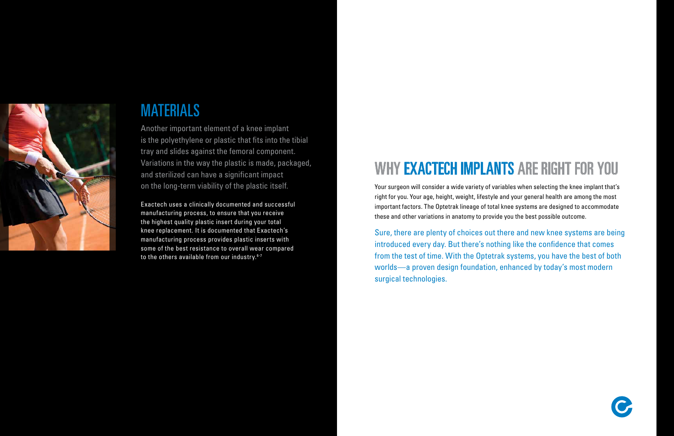

### MATERIALS

Exactech uses a clinically documented and successful manufacturing process, to ensure that you receive the highest quality plastic insert during your total knee replacement. It is documented that Exactech's manufacturing process provides plastic inserts with some of the best resistance to overall wear compared to the others available from our industry.<sup>6-7</sup>

Another important element of a knee implant is the polyethylene or plastic that fits into the tibial tray and slides against the femoral component. Variations in the way the plastic is made, packaged, and sterilized can have a significant impact on the long-term viability of the plastic itself.

# WHY EXACTECH IMPLANTS ARE RIGHT FOR YOU

Your surgeon will consider a wide variety of variables when selecting the knee implant that's right for you. Your age, height, weight, lifestyle and your general health are among the most important factors. The Optetrak lineage of total knee systems are designed to accommodate these and other variations in anatomy to provide you the best possible outcome.

Sure, there are plenty of choices out there and new knee systems are being introduced every day. But there's nothing like the confidence that comes from the test of time. With the Optetrak systems, you have the best of both worlds—a proven design foundation, enhanced by today's most modern surgical technologies.